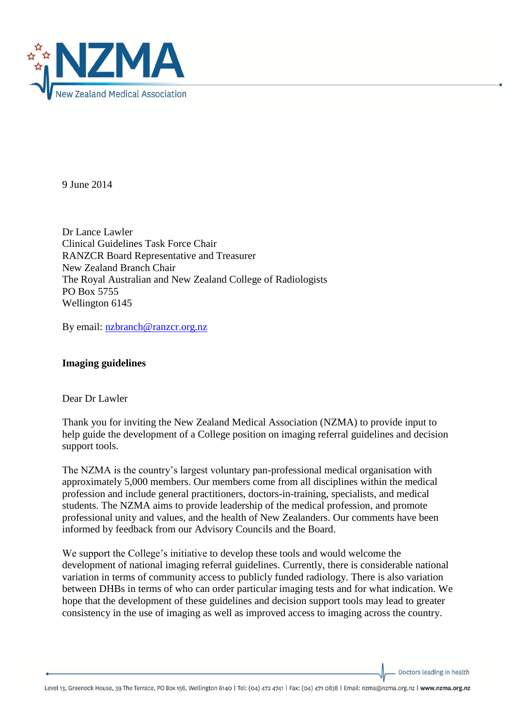

9 June 2014

Dr Lance Lawler Clinical Guidelines Task Force Chair RANZCR Board Representative and Treasurer New Zealand Branch Chair The Royal Australian and New Zealand College of Radiologists PO Box 5755 Wellington 6145

By email: [nzbranch@ranzcr.org.nz](mailto:nzbranch@ranzcr.org.nz)

## **Imaging guidelines**

Dear Dr Lawler

Thank you for inviting the New Zealand Medical Association (NZMA) to provide input to help guide the development of a College position on imaging referral guidelines and decision support tools.

The NZMA is the country's largest voluntary pan-professional medical organisation with approximately 5,000 members. Our members come from all disciplines within the medical profession and include general practitioners, doctors-in-training, specialists, and medical students. The NZMA aims to provide leadership of the medical profession, and promote professional unity and values, and the health of New Zealanders. Our comments have been informed by feedback from our Advisory Councils and the Board.

We support the College's initiative to develop these tools and would welcome the development of national imaging referral guidelines. Currently, there is considerable national variation in terms of community access to publicly funded radiology. There is also variation between DHBs in terms of who can order particular imaging tests and for what indication. We hope that the development of these guidelines and decision support tools may lead to greater consistency in the use of imaging as well as improved access to imaging across the country.

Doctors leading in health